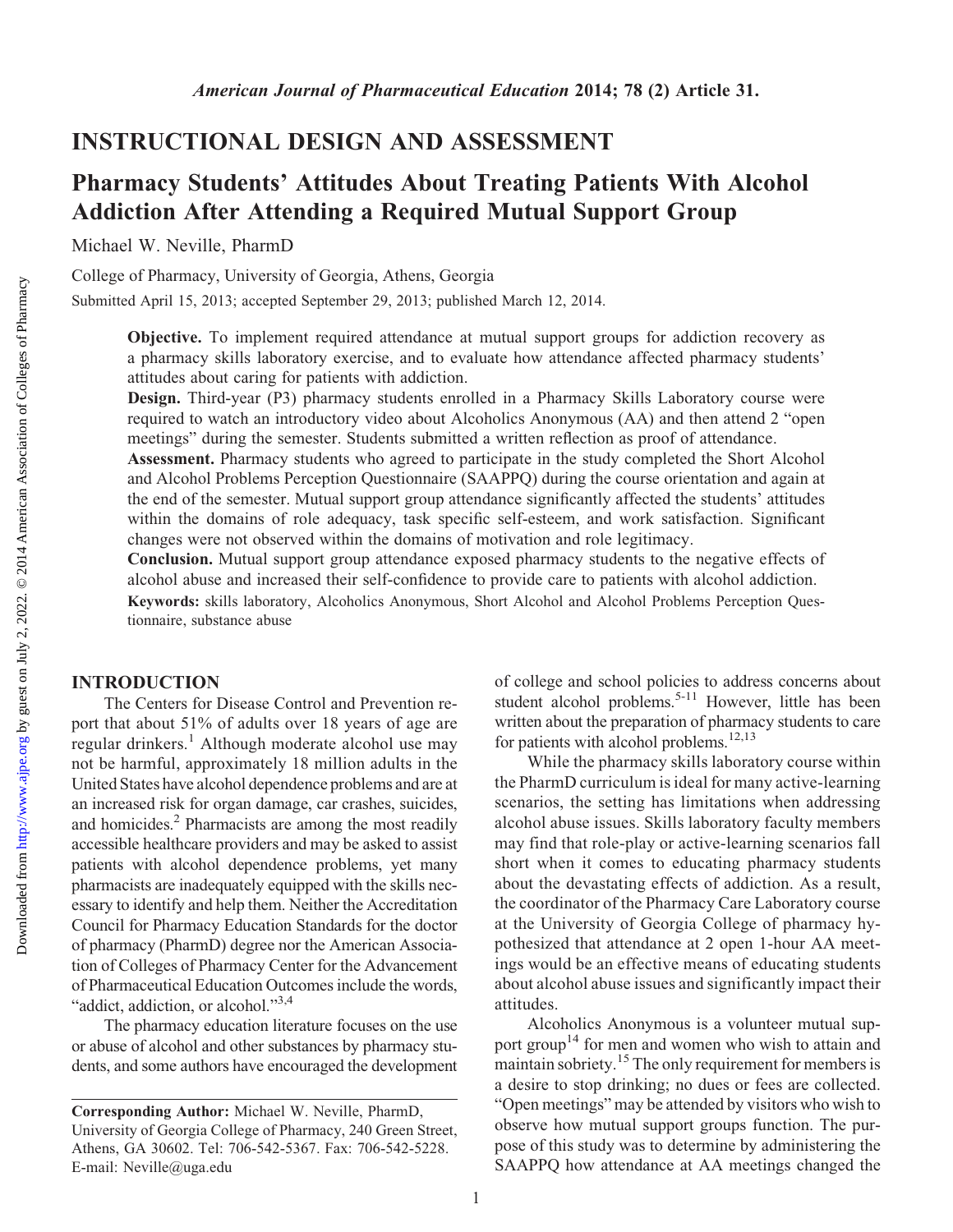## INSTRUCTIONAL DESIGN AND ASSESSMENT

# Pharmacy Students' Attitudes About Treating Patients With Alcohol Addiction After Attending a Required Mutual Support Group

Michael W. Neville, PharmD

College of Pharmacy, University of Georgia, Athens, Georgia

Submitted April 15, 2013; accepted September 29, 2013; published March 12, 2014.

Objective. To implement required attendance at mutual support groups for addiction recovery as a pharmacy skills laboratory exercise, and to evaluate how attendance affected pharmacy students' attitudes about caring for patients with addiction.

Design. Third-year (P3) pharmacy students enrolled in a Pharmacy Skills Laboratory course were required to watch an introductory video about Alcoholics Anonymous (AA) and then attend 2 "open meetings" during the semester. Students submitted a written reflection as proof of attendance.

Assessment. Pharmacy students who agreed to participate in the study completed the Short Alcohol and Alcohol Problems Perception Questionnaire (SAAPPQ) during the course orientation and again at the end of the semester. Mutual support group attendance significantly affected the students' attitudes within the domains of role adequacy, task specific self-esteem, and work satisfaction. Significant changes were not observed within the domains of motivation and role legitimacy.

Conclusion. Mutual support group attendance exposed pharmacy students to the negative effects of alcohol abuse and increased their self-confidence to provide care to patients with alcohol addiction.

Keywords: skills laboratory, Alcoholics Anonymous, Short Alcohol and Alcohol Problems Perception Questionnaire, substance abuse

#### INTRODUCTION

The Centers for Disease Control and Prevention report that about 51% of adults over 18 years of age are regular drinkers.<sup>1</sup> Although moderate alcohol use may not be harmful, approximately 18 million adults in the United States have alcohol dependence problems and are at an increased risk for organ damage, car crashes, suicides, and homicides.2 Pharmacists are among the most readily accessible healthcare providers and may be asked to assist patients with alcohol dependence problems, yet many pharmacists are inadequately equipped with the skills necessary to identify and help them. Neither the Accreditation Council for Pharmacy Education Standards for the doctor of pharmacy (PharmD) degree nor the American Association of Colleges of Pharmacy Center for the Advancement of Pharmaceutical Education Outcomes include the words, "addict, addiction, or alcohol."<sup>3,4</sup>

The pharmacy education literature focuses on the use or abuse of alcohol and other substances by pharmacy students, and some authors have encouraged the development

of college and school policies to address concerns about student alcohol problems.<sup>5-11</sup> However, little has been written about the preparation of pharmacy students to care for patients with alcohol problems. $12,13$ 

While the pharmacy skills laboratory course within the PharmD curriculum is ideal for many active-learning scenarios, the setting has limitations when addressing alcohol abuse issues. Skills laboratory faculty members may find that role-play or active-learning scenarios fall short when it comes to educating pharmacy students about the devastating effects of addiction. As a result, the coordinator of the Pharmacy Care Laboratory course at the University of Georgia College of pharmacy hypothesized that attendance at 2 open 1-hour AA meetings would be an effective means of educating students about alcohol abuse issues and significantly impact their attitudes.

Alcoholics Anonymous is a volunteer mutual support group<sup>14</sup> for men and women who wish to attain and maintain sobriety.<sup>15</sup> The only requirement for members is a desire to stop drinking; no dues or fees are collected. "Open meetings" may be attended by visitors who wish to observe how mutual support groups function. The purpose of this study was to determine by administering the SAAPPQ how attendance at AA meetings changed the

Corresponding Author: Michael W. Neville, PharmD, University of Georgia College of Pharmacy, 240 Green Street, Athens, GA 30602. Tel: 706-542-5367. Fax: 706-542-5228. E-mail: Neville@uga.edu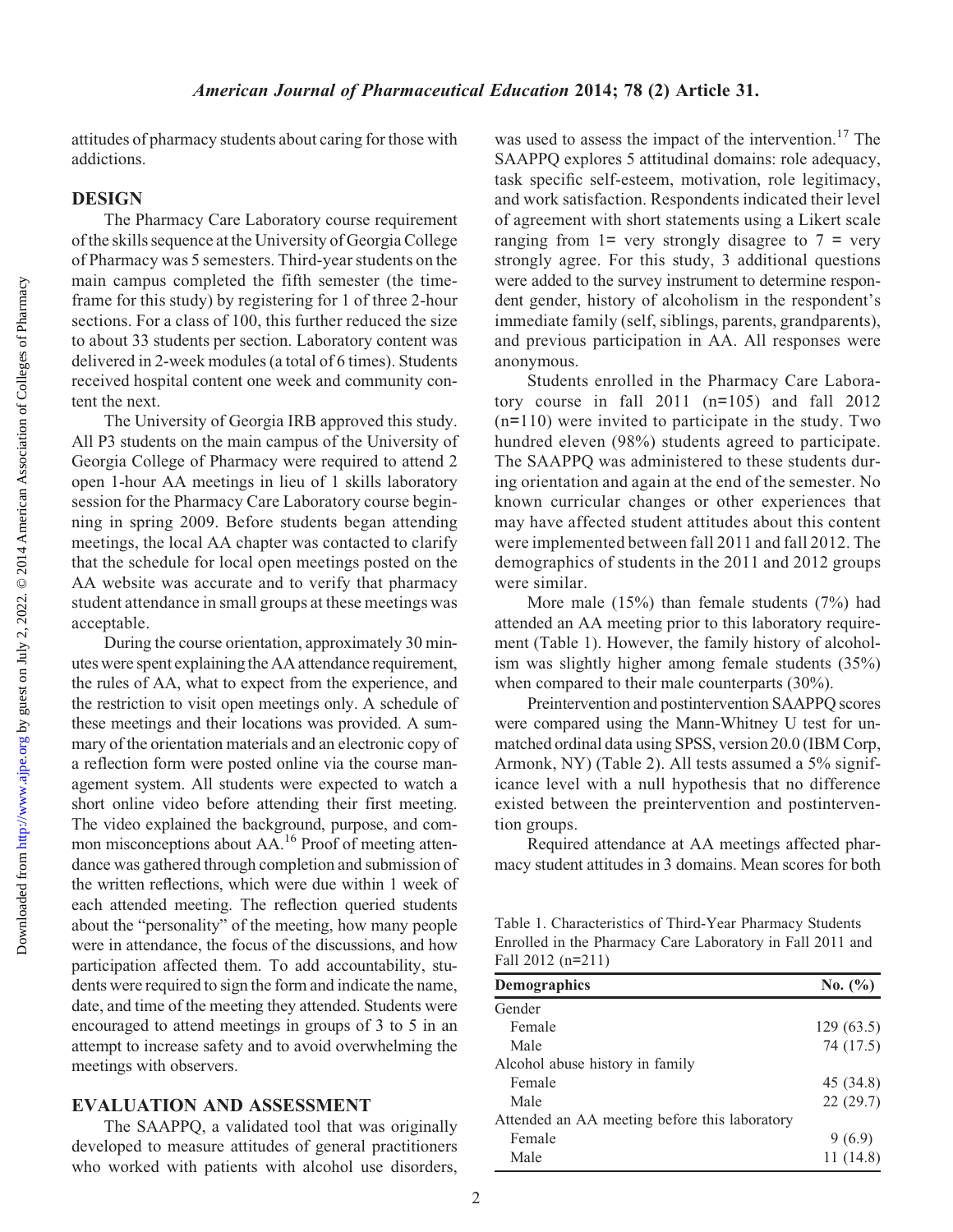attitudes of pharmacy students about caring for those with addictions.

#### DESIGN

The Pharmacy Care Laboratory course requirement of the skills sequence at the University of Georgia College of Pharmacy was 5 semesters. Third-year students on the main campus completed the fifth semester (the timeframe for this study) by registering for 1 of three 2-hour sections. For a class of 100, this further reduced the size to about 33 students per section. Laboratory content was delivered in 2-week modules (a total of 6 times). Students received hospital content one week and community content the next.

The University of Georgia IRB approved this study. All P3 students on the main campus of the University of Georgia College of Pharmacy were required to attend 2 open 1-hour AA meetings in lieu of 1 skills laboratory session for the Pharmacy Care Laboratory course beginning in spring 2009. Before students began attending meetings, the local AA chapter was contacted to clarify that the schedule for local open meetings posted on the AA website was accurate and to verify that pharmacy student attendance in small groups at these meetings was acceptable.

During the course orientation, approximately 30 minutes were spent explaining the AA attendance requirement, the rules of AA, what to expect from the experience, and the restriction to visit open meetings only. A schedule of these meetings and their locations was provided. A summary of the orientation materials and an electronic copy of a reflection form were posted online via the course management system. All students were expected to watch a short online video before attending their first meeting. The video explained the background, purpose, and common misconceptions about AA.<sup>16</sup> Proof of meeting attendance was gathered through completion and submission of the written reflections, which were due within 1 week of each attended meeting. The reflection queried students about the "personality" of the meeting, how many people were in attendance, the focus of the discussions, and how participation affected them. To add accountability, students were required to sign the form and indicate the name, date, and time of the meeting they attended. Students were encouraged to attend meetings in groups of 3 to 5 in an attempt to increase safety and to avoid overwhelming the meetings with observers.

#### EVALUATION AND ASSESSMENT

The SAAPPQ, a validated tool that was originally developed to measure attitudes of general practitioners who worked with patients with alcohol use disorders,

was used to assess the impact of the intervention.<sup>17</sup> The SAAPPQ explores 5 attitudinal domains: role adequacy, task specific self-esteem, motivation, role legitimacy, and work satisfaction. Respondents indicated their level of agreement with short statements using a Likert scale ranging from  $1=$  very strongly disagree to  $7 =$  very strongly agree. For this study, 3 additional questions were added to the survey instrument to determine respondent gender, history of alcoholism in the respondent's immediate family (self, siblings, parents, grandparents), and previous participation in AA. All responses were anonymous.

Students enrolled in the Pharmacy Care Laboratory course in fall 2011 (n=105) and fall 2012  $(n=110)$  were invited to participate in the study. Two hundred eleven (98%) students agreed to participate. The SAAPPQ was administered to these students during orientation and again at the end of the semester. No known curricular changes or other experiences that may have affected student attitudes about this content were implemented between fall 2011 and fall 2012. The demographics of students in the 2011 and 2012 groups were similar.

More male (15%) than female students (7%) had attended an AA meeting prior to this laboratory requirement (Table 1). However, the family history of alcoholism was slightly higher among female students (35%) when compared to their male counterparts (30%).

Preintervention and postintervention SAAPPQ scores were compared using the Mann-Whitney U test for unmatched ordinal data using SPSS, version 20.0 (IBM Corp, Armonk, NY) (Table 2). All tests assumed a 5% significance level with a null hypothesis that no difference existed between the preintervention and postintervention groups.

Required attendance at AA meetings affected pharmacy student attitudes in 3 domains. Mean scores for both

Table 1. Characteristics of Third-Year Pharmacy Students Enrolled in the Pharmacy Care Laboratory in Fall 2011 and Fall 2012 (n=211)

| <b>Demographics</b>                           | No. (%)   |
|-----------------------------------------------|-----------|
| Gender                                        |           |
| Female                                        | 129(63.5) |
| Male                                          | 74 (17.5) |
| Alcohol abuse history in family               |           |
| Female                                        | 45 (34.8) |
| Male                                          | 22(29.7)  |
| Attended an AA meeting before this laboratory |           |
| Female                                        | 9(6.9)    |
| Male                                          | 11(14.8)  |
|                                               |           |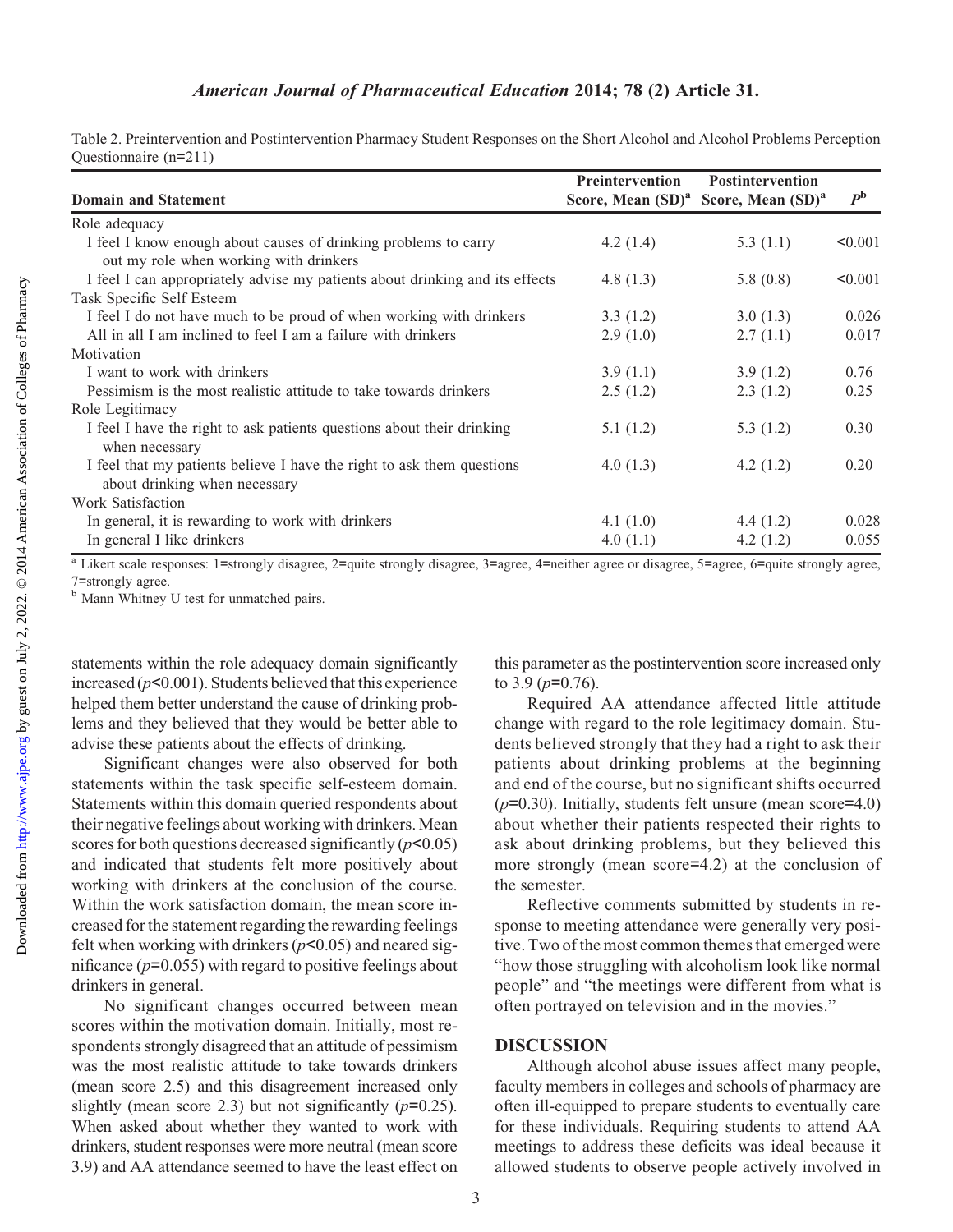Table 2. Preintervention and Postintervention Pharmacy Student Responses on the Short Alcohol and Alcohol Problems Perception Questionnaire (n=211)

| <b>Domain and Statement</b>                                                                               | <b>Preintervention</b><br>Score, Mean $(SD)^a$ | <b>Postintervention</b><br>Score, Mean (SD) <sup>a</sup> | $P^{\rm b}$ |
|-----------------------------------------------------------------------------------------------------------|------------------------------------------------|----------------------------------------------------------|-------------|
|                                                                                                           |                                                |                                                          |             |
| I feel I know enough about causes of drinking problems to carry<br>out my role when working with drinkers | 4.2 $(1.4)$                                    | 5.3 $(1.1)$                                              | < 0.001     |
| I feel I can appropriately advise my patients about drinking and its effects                              | 4.8 $(1.3)$                                    | 5.8 $(0.8)$                                              | < 0.001     |
| Task Specific Self Esteem                                                                                 |                                                |                                                          |             |
| I feel I do not have much to be proud of when working with drinkers                                       | 3.3(1.2)                                       | 3.0(1.3)                                                 | 0.026       |
| All in all I am inclined to feel I am a failure with drinkers                                             | 2.9(1.0)                                       | 2.7(1.1)                                                 | 0.017       |
| Motivation                                                                                                |                                                |                                                          |             |
| I want to work with drinkers                                                                              | 3.9(1.1)                                       | 3.9(1.2)                                                 | 0.76        |
| Pessimism is the most realistic attitude to take towards drinkers                                         | 2.5(1.2)                                       | 2.3(1.2)                                                 | 0.25        |
| Role Legitimacy                                                                                           |                                                |                                                          |             |
| I feel I have the right to ask patients questions about their drinking<br>when necessary                  | 5.1(1.2)                                       | 5.3(1.2)                                                 | 0.30        |
| I feel that my patients believe I have the right to ask them questions<br>about drinking when necessary   | 4.0(1.3)                                       | 4.2 $(1.2)$                                              | 0.20        |
| Work Satisfaction                                                                                         |                                                |                                                          |             |
| In general, it is rewarding to work with drinkers                                                         | 4.1 $(1.0)$                                    | 4.4 $(1.2)$                                              | 0.028       |
| In general I like drinkers                                                                                | 4.0(1.1)                                       | 4.2 $(1.2)$                                              | 0.055       |

<sup>a</sup> Likert scale responses: 1=strongly disagree, 2=quite strongly disagree, 3=agree, 4=neither agree or disagree, 5=agree, 6=quite strongly agree,

7=strongly agree.<br> $b<sup>b</sup>$  Mann Whitney U test for unmatched pairs.

statements within the role adequacy domain significantly increased ( $p<0.001$ ). Students believed that this experience helped them better understand the cause of drinking problems and they believed that they would be better able to advise these patients about the effects of drinking.

Significant changes were also observed for both statements within the task specific self-esteem domain. Statements within this domain queried respondents about their negative feelings about working with drinkers. Mean scores for both questions decreased significantly  $(p<0.05)$ and indicated that students felt more positively about working with drinkers at the conclusion of the course. Within the work satisfaction domain, the mean score increased for the statement regarding the rewarding feelings felt when working with drinkers  $(p<0.05)$  and neared significance  $(p=0.055)$  with regard to positive feelings about drinkers in general.

No significant changes occurred between mean scores within the motivation domain. Initially, most respondents strongly disagreed that an attitude of pessimism was the most realistic attitude to take towards drinkers (mean score 2.5) and this disagreement increased only slightly (mean score 2.3) but not significantly  $(p=0.25)$ . When asked about whether they wanted to work with drinkers, student responses were more neutral (mean score 3.9) and AA attendance seemed to have the least effect on this parameter as the postintervention score increased only to 3.9 ( $p=0.76$ ).

Required AA attendance affected little attitude change with regard to the role legitimacy domain. Students believed strongly that they had a right to ask their patients about drinking problems at the beginning and end of the course, but no significant shifts occurred  $(p=0.30)$ . Initially, students felt unsure (mean score=4.0) about whether their patients respected their rights to ask about drinking problems, but they believed this more strongly (mean score=4.2) at the conclusion of the semester.

Reflective comments submitted by students in response to meeting attendance were generally very positive. Two of the most common themes that emerged were "how those struggling with alcoholism look like normal people" and "the meetings were different from what is often portrayed on television and in the movies."

### DISCUSSION

Although alcohol abuse issues affect many people, faculty members in colleges and schools of pharmacy are often ill-equipped to prepare students to eventually care for these individuals. Requiring students to attend AA meetings to address these deficits was ideal because it allowed students to observe people actively involved in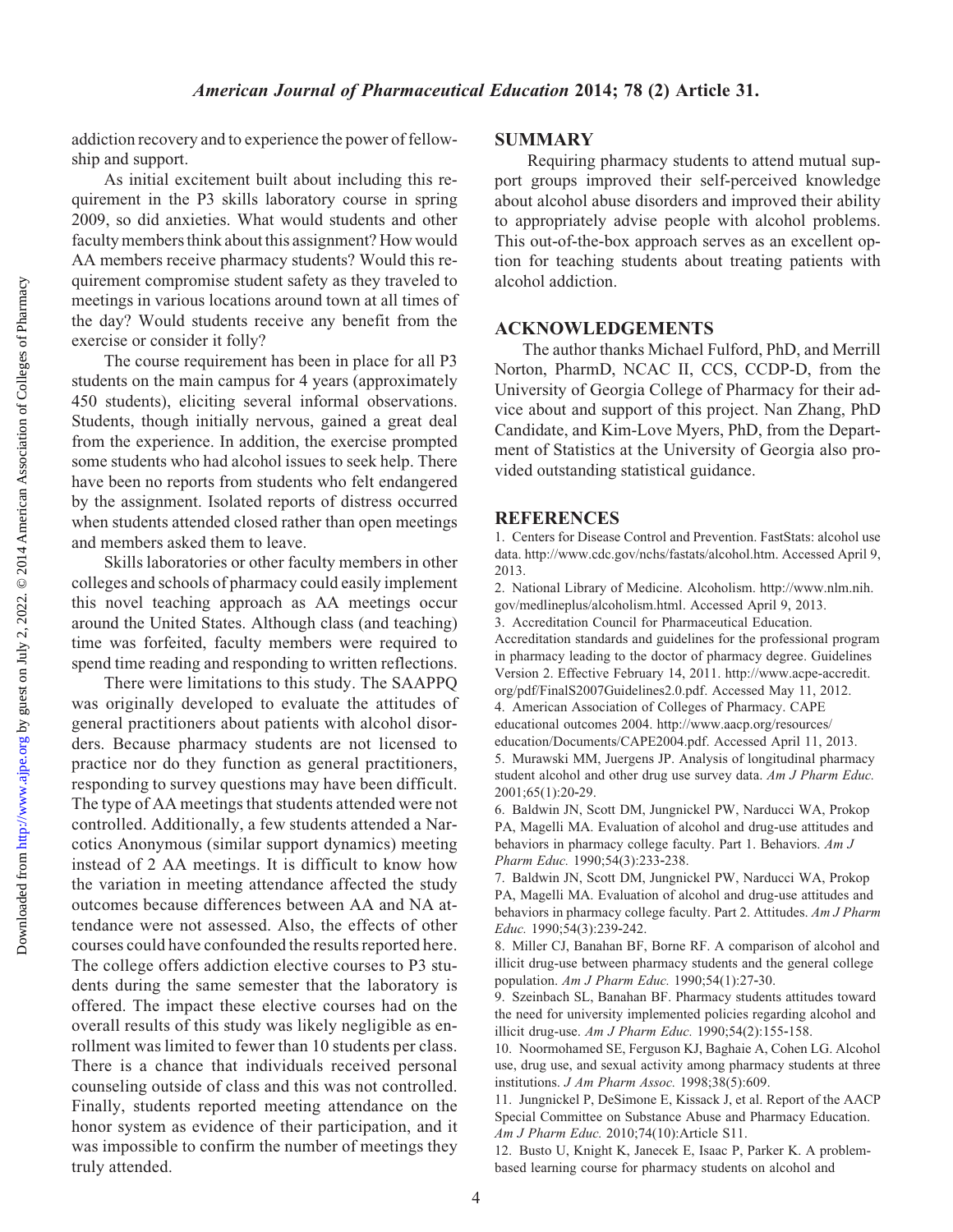addiction recovery and to experience the power of fellowship and support.

As initial excitement built about including this requirement in the P3 skills laboratory course in spring 2009, so did anxieties. What would students and other faculty members think about this assignment? How would AA members receive pharmacy students? Would this requirement compromise student safety as they traveled to meetings in various locations around town at all times of the day? Would students receive any benefit from the exercise or consider it folly?

The course requirement has been in place for all P3 students on the main campus for 4 years (approximately 450 students), eliciting several informal observations. Students, though initially nervous, gained a great deal from the experience. In addition, the exercise prompted some students who had alcohol issues to seek help. There have been no reports from students who felt endangered by the assignment. Isolated reports of distress occurred when students attended closed rather than open meetings and members asked them to leave.

Skills laboratories or other faculty members in other colleges and schools of pharmacy could easily implement this novel teaching approach as AA meetings occur around the United States. Although class (and teaching) time was forfeited, faculty members were required to spend time reading and responding to written reflections.

There were limitations to this study. The SAAPPQ was originally developed to evaluate the attitudes of general practitioners about patients with alcohol disorders. Because pharmacy students are not licensed to practice nor do they function as general practitioners, responding to survey questions may have been difficult. The type of AA meetings that students attended were not controlled. Additionally, a few students attended a Narcotics Anonymous (similar support dynamics) meeting instead of 2 AA meetings. It is difficult to know how the variation in meeting attendance affected the study outcomes because differences between AA and NA attendance were not assessed. Also, the effects of other courses could have confounded the results reported here. The college offers addiction elective courses to P3 students during the same semester that the laboratory is offered. The impact these elective courses had on the overall results of this study was likely negligible as enrollment was limited to fewer than 10 students per class. There is a chance that individuals received personal counseling outside of class and this was not controlled. Finally, students reported meeting attendance on the honor system as evidence of their participation, and it was impossible to confirm the number of meetings they truly attended.

#### **SUMMARY**

Requiring pharmacy students to attend mutual support groups improved their self-perceived knowledge about alcohol abuse disorders and improved their ability to appropriately advise people with alcohol problems. This out-of-the-box approach serves as an excellent option for teaching students about treating patients with alcohol addiction.

#### ACKNOWLEDGEMENTS

The author thanks Michael Fulford, PhD, and Merrill Norton, PharmD, NCAC II, CCS, CCDP-D, from the University of Georgia College of Pharmacy for their advice about and support of this project. Nan Zhang, PhD Candidate, and Kim-Love Myers, PhD, from the Department of Statistics at the University of Georgia also provided outstanding statistical guidance.

#### **REFERENCES**

1. Centers for Disease Control and Prevention. FastStats: alcohol use data. http://www.cdc.gov/nchs/fastats/alcohol.htm. Accessed April 9, 2013.

2. National Library of Medicine. Alcoholism. http://www.nlm.nih. gov/medlineplus/alcoholism.html. Accessed April 9, 2013.

3. Accreditation Council for Pharmaceutical Education.

Accreditation standards and guidelines for the professional program in pharmacy leading to the doctor of pharmacy degree. Guidelines Version 2. Effective February 14, 2011. http://www.acpe-accredit. org/pdf/FinalS2007Guidelines2.0.pdf. Accessed May 11, 2012. 4. American Association of Colleges of Pharmacy. CAPE

educational outcomes 2004. http://www.aacp.org/resources/ education/Documents/CAPE2004.pdf. Accessed April 11, 2013. 5. Murawski MM, Juergens JP. Analysis of longitudinal pharmacy student alcohol and other drug use survey data. Am J Pharm Educ. 2001;65(1):20‐29.

6. Baldwin JN, Scott DM, Jungnickel PW, Narducci WA, Prokop PA, Magelli MA. Evaluation of alcohol and drug-use attitudes and behaviors in pharmacy college faculty. Part 1. Behaviors. Am J Pharm Educ. 1990;54(3):233‐238.

7. Baldwin JN, Scott DM, Jungnickel PW, Narducci WA, Prokop PA, Magelli MA. Evaluation of alcohol and drug-use attitudes and behaviors in pharmacy college faculty. Part 2. Attitudes. Am J Pharm Educ. 1990;54(3):239‐242.

8. Miller CJ, Banahan BF, Borne RF. A comparison of alcohol and illicit drug-use between pharmacy students and the general college population. Am J Pharm Educ. 1990;54(1):27-30.

9. Szeinbach SL, Banahan BF. Pharmacy students attitudes toward the need for university implemented policies regarding alcohol and illicit drug-use. Am J Pharm Educ. 1990;54(2):155‐158.

10. Noormohamed SE, Ferguson KJ, Baghaie A, Cohen LG. Alcohol use, drug use, and sexual activity among pharmacy students at three institutions. J Am Pharm Assoc. 1998;38(5):609.

11. Jungnickel P, DeSimone E, Kissack J, et al. Report of the AACP Special Committee on Substance Abuse and Pharmacy Education. Am J Pharm Educ. 2010;74(10):Article S11.

12. Busto U, Knight K, Janecek E, Isaac P, Parker K. A problembased learning course for pharmacy students on alcohol and